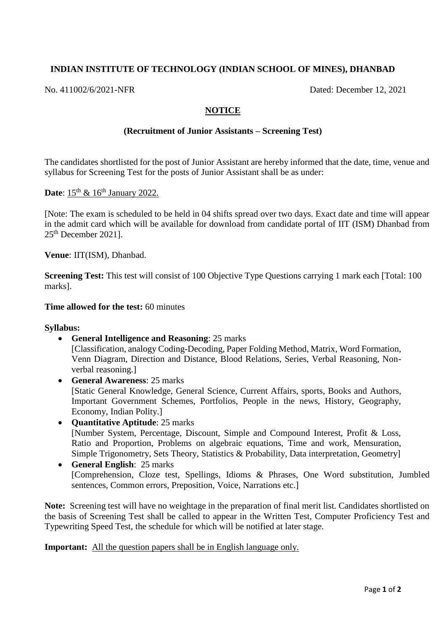# **INDIAN INSTITUTE OF TECHNOLOGY (INDIAN SCHOOL OF MINES), DHANBAD**

No. 411002/6/2021-NFR Dated: December 12, 2021

### **NOTICE**

### **(Recruitment of Junior Assistants – Screening Test)**

The candidates shortlisted for the post of Junior Assistant are hereby informed that the date, time, venue and syllabus for Screening Test for the posts of Junior Assistant shall be as under:

### **Date**: 15<sup>th</sup> & 16<sup>th</sup> January 2022.

[Note: The exam is scheduled to be held in 04 shifts spread over two days. Exact date and time will appear in the admit card which will be available for download from candidate portal of IIT (ISM) Dhanbad from 25 th December 2021].

**Venue**: IIT(ISM), Dhanbad.

**Screening Test:** This test will consist of 100 Objective Type Questions carrying 1 mark each [Total: 100] marks].

#### **Time allowed for the test:** 60 minutes

#### **Syllabus:**

- **General Intelligence and Reasoning**: 25 marks [Classification, analogy Coding-Decoding, Paper Folding Method, Matrix, Word Formation, Venn Diagram, Direction and Distance, Blood Relations, Series, Verbal Reasoning, Nonverbal reasoning.]
- **General Awareness**: 25 marks [Static General Knowledge, General Science, Current Affairs, sports, Books and Authors, Important Government Schemes, Portfolios, People in the news, History, Geography, Economy, Indian Polity.]
- **Quantitative Aptitude**: 25 marks [Number System, Percentage, Discount, Simple and Compound Interest, Profit & Loss, Ratio and Proportion, Problems on algebraic equations, Time and work, Mensuration, Simple Trigonometry, Sets Theory, Statistics & Probability, Data interpretation, Geometry]
- **General English**: 25 marks [Comprehension, Cloze test, Spellings, Idioms & Phrases, One Word substitution, Jumbled sentences, Common errors, Preposition, Voice, Narrations etc.]

**Note:** Screening test will have no weightage in the preparation of final merit list. Candidates shortlisted on the basis of Screening Test shall be called to appear in the Written Test, Computer Proficiency Test and Typewriting Speed Test, the schedule for which will be notified at later stage.

**Important:** All the question papers shall be in English language only.